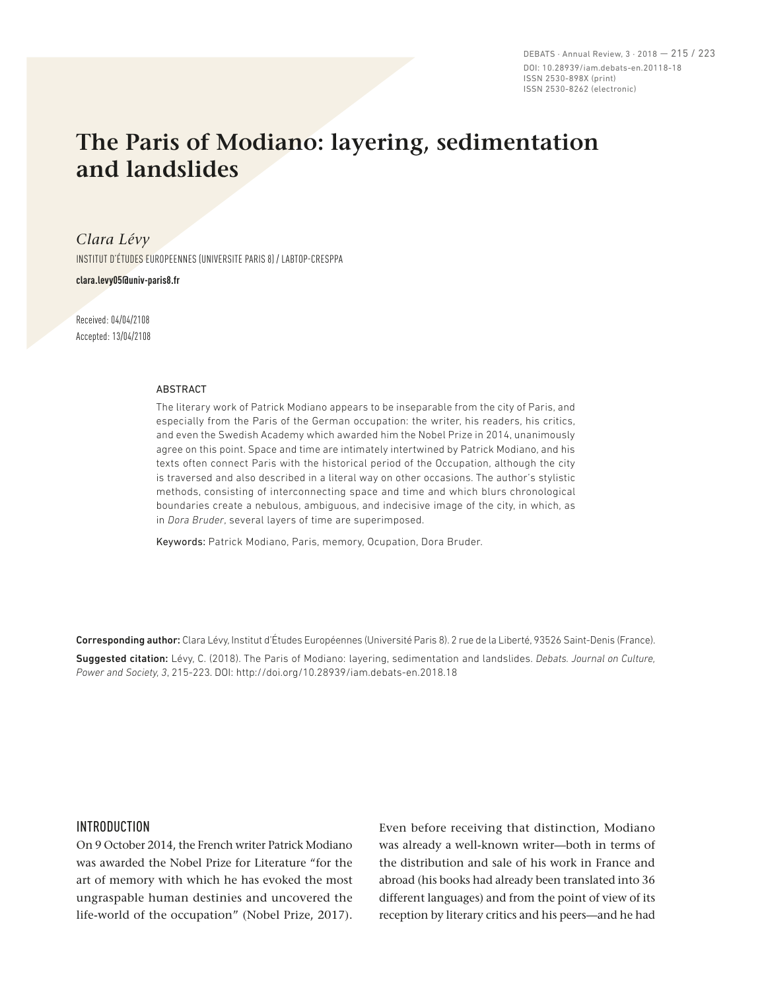DEBATS · Annual Review, 3 · 2018 — 215 / 223 DOI: 10.28939/iam.debats-en.20118-18 ISSN 2530-898X (print) ISSN 2530-8262 (electronic)

# **The Paris of Modiano: layering, sedimentation and landslides**

*Clara Lévy*

INSTITUT D'ÉTUDES EUROPEENNES (UNIVERSITE PARIS 8) / LABTOP-CRESPPA

**clara.levy05@univ-paris8.fr**

Received: 04/04/2108 Accepted: 13/04/2108

#### ABSTRACT

The literary work of Patrick Modiano appears to be inseparable from the city of Paris, and especially from the Paris of the German occupation: the writer, his readers, his critics, and even the Swedish Academy which awarded him the Nobel Prize in 2014, unanimously agree on this point. Space and time are intimately intertwined by Patrick Modiano, and his texts often connect Paris with the historical period of the Occupation, although the city is traversed and also described in a literal way on other occasions. The author's stylistic methods, consisting of interconnecting space and time and which blurs chronological boundaries create a nebulous, ambiguous, and indecisive image of the city, in which, as in *Dora Bruder*, several layers of time are superimposed.

Keywords: Patrick Modiano, Paris, memory, Ocupation, Dora Bruder.

Corresponding author: Clara Lévy, Institut d'Études Européennes (Université Paris 8). 2 rue de la Liberté, 93526 Saint-Denis (France). Suggested citation: Lévy, C. (2018). The Paris of Modiano: layering, sedimentation and landslides. *Debats. Journal on Culture, Power and Society, 3*, 215-223. DOI: http://doi.org/10.28939/iam.debats-en.2018.18

#### INTRODUCTION

On 9 October 2014, the French writer Patrick Modiano was awarded the Nobel Prize for Literature "for the art of memory with which he has evoked the most ungraspable human destinies and uncovered the life-world of the occupation" (Nobel Prize, 2017). Even before receiving that distinction, Modiano was already a well-known writer—both in terms of the distribution and sale of his work in France and abroad (his books had already been translated into 36 different languages) and from the point of view of its reception by literary critics and his peers—and he had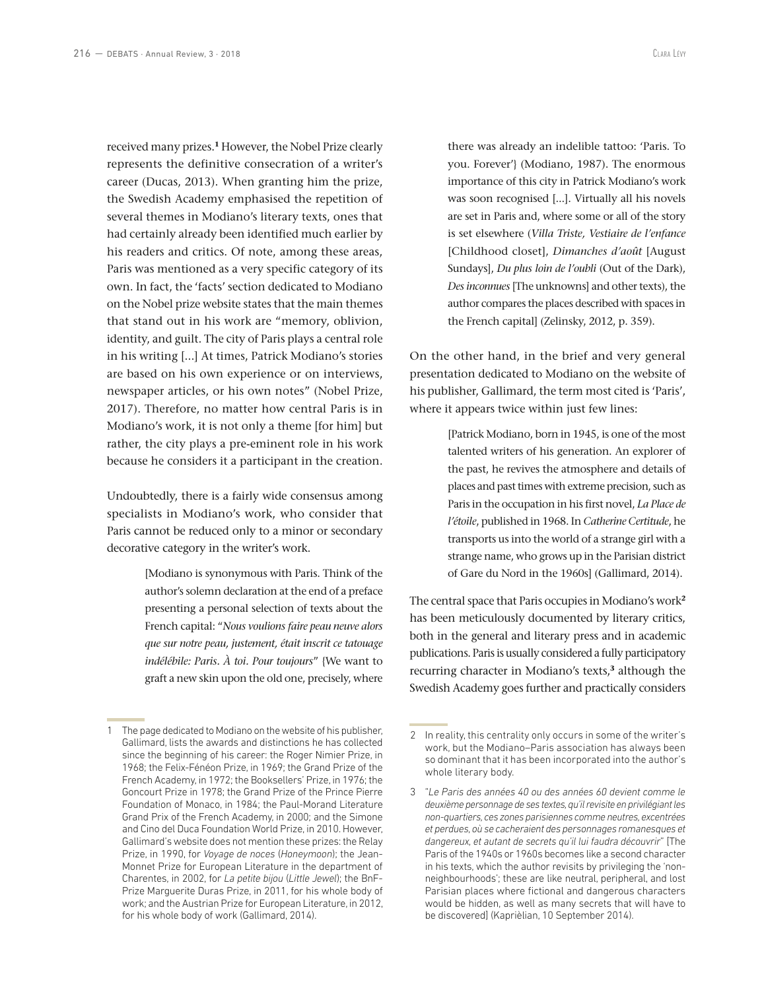received many prizes.**<sup>1</sup>** However, the Nobel Prize clearly represents the definitive consecration of a writer's career (Ducas, 2013). When granting him the prize, the Swedish Academy emphasised the repetition of several themes in Modiano's literary texts, ones that had certainly already been identified much earlier by his readers and critics. Of note, among these areas, Paris was mentioned as a very specific category of its own. In fact, the 'facts' section dedicated to Modiano on the Nobel prize website states that the main themes that stand out in his work are "memory, oblivion, identity, and guilt. The city of Paris plays a central role in his writing [...] At times, Patrick Modiano's stories are based on his own experience or on interviews, newspaper articles, or his own notes" (Nobel Prize, 2017). Therefore, no matter how central Paris is in Modiano's work, it is not only a theme [for him] but rather, the city plays a pre-eminent role in his work because he considers it a participant in the creation.

Undoubtedly, there is a fairly wide consensus among specialists in Modiano's work, who consider that Paris cannot be reduced only to a minor or secondary decorative category in the writer's work.

> [Modiano is synonymous with Paris. Think of the author's solemn declaration at the end of a preface presenting a personal selection of texts about the French capital: "*Nous voulions faire peau neuve alors que sur notre peau, justement, était inscrit ce tatouage indélébile: Paris. À toi. Pour toujours*" {We want to graft a new skin upon the old one, precisely, where

there was already an indelible tattoo: 'Paris. To you. Forever'} (Modiano, 1987). The enormous importance of this city in Patrick Modiano's work was soon recognised [...]. Virtually all his novels are set in Paris and, where some or all of the story is set elsewhere (*Villa Triste, Vestiaire de l'enfance*  [Childhood closet], *Dimanches d'août* [August Sundays], *Du plus loin de l'oubli* (Out of the Dark), *Des inconnues* [The unknowns] and other texts), the author compares the places described with spaces in the French capital] (Zelinsky, 2012, p. 359).

On the other hand, in the brief and very general presentation dedicated to Modiano on the website of his publisher, Gallimard, the term most cited is 'Paris', where it appears twice within just few lines:

> [Patrick Modiano, born in 1945, is one of the most talented writers of his generation. An explorer of the past, he revives the atmosphere and details of places and past times with extreme precision, such as Paris in the occupation in his first novel, *La Place de l'étoile*, published in 1968. In *Catherine Certitude*, he transports us into the world of a strange girl with a strange name, who grows up in the Parisian district of Gare du Nord in the 1960s] (Gallimard, 2014).

The central space that Paris occupies in Modiano's work**<sup>2</sup>** has been meticulously documented by literary critics, both in the general and literary press and in academic publications. Paris is usually considered a fully participatory recurring character in Modiano's texts,**<sup>3</sup>** although the Swedish Academy goes further and practically considers

<sup>1</sup> The page dedicated to Modiano on the website of his publisher, Gallimard, lists the awards and distinctions he has collected since the beginning of his career: the Roger Nimier Prize, in 1968; the Felix-Fénéon Prize, in 1969; the Grand Prize of the French Academy, in 1972; the Booksellers' Prize, in 1976; the Goncourt Prize in 1978; the Grand Prize of the Prince Pierre Foundation of Monaco, in 1984; the Paul-Morand Literature Grand Prix of the French Academy, in 2000; and the Simone and Cino del Duca Foundation World Prize, in 2010. However, Gallimard's website does not mention these prizes: the Relay Prize, in 1990, for *Voyage de noces* (*Honeymoon*); the Jean-Monnet Prize for European Literature in the department of Charentes, in 2002, for *La petite bijou* (*Little Jewel*); the BnF-Prize Marguerite Duras Prize, in 2011, for his whole body of work; and the Austrian Prize for European Literature, in 2012, for his whole body of work (Gallimard, 2014).

<sup>2</sup> In reality, this centrality only occurs in some of the writer's work, but the Modiano–Paris association has always been so dominant that it has been incorporated into the author's whole literary body.

<sup>3</sup> "*Le Paris des années 40 ou des années 60 devient comme le deuxième personnage de ses textes, qu'il revisite en privilégiant les non-quartiers, ces zones parisiennes comme neutres, excentrées et perdues, où se cacheraient des personnages romanesques et dangereux, et autant de secrets qu'il lui faudra découvrir*" [The Paris of the 1940s or 1960s becomes like a second character in his texts, which the author revisits by privileging the 'nonneighbourhoods'; these are like neutral, peripheral, and lost Parisian places where fictional and dangerous characters would be hidden, as well as many secrets that will have to be discovered] (Kaprièlian, 10 September 2014).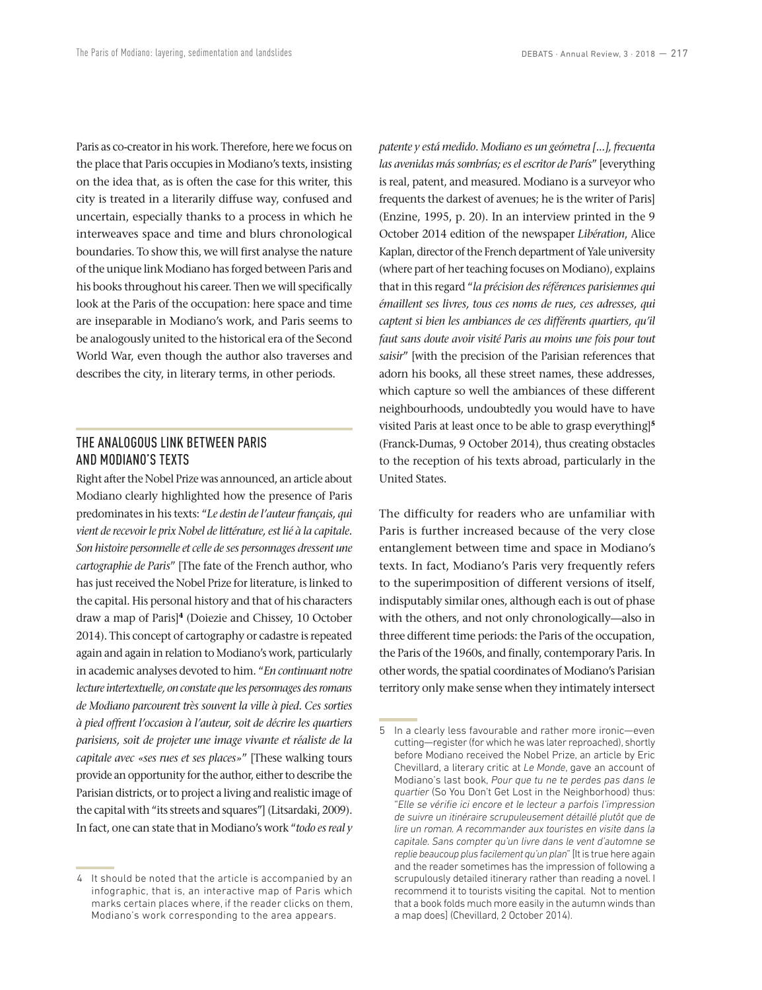Paris as co-creator in his work. Therefore, here we focus on the place that Paris occupies in Modiano's texts, insisting on the idea that, as is often the case for this writer, this city is treated in a literarily diffuse way, confused and uncertain, especially thanks to a process in which he interweaves space and time and blurs chronological boundaries. To show this, we will first analyse the nature of the unique link Modiano has forged between Paris and his books throughout his career. Then we will specifically look at the Paris of the occupation: here space and time are inseparable in Modiano's work, and Paris seems to be analogously united to the historical era of the Second World War, even though the author also traverses and describes the city, in literary terms, in other periods.

## THE ANALOGOUS LINK BETWEEN PARIS AND MODIANO'S TEXTS

Right after the Nobel Prize was announced, an article about Modiano clearly highlighted how the presence of Paris predominates in his texts: "*Le destin de l'auteur français, qui vient de recevoir le prix Nobel de littérature, est lié à la capitale. Son histoire personnelle et celle de ses personnages dressent une cartographie de Paris*" [The fate of the French author, who has just received the Nobel Prize for literature, is linked to the capital. His personal history and that of his characters draw a map of Paris]**<sup>4</sup>** (Doiezie and Chissey, 10 October 2014). This concept of cartography or cadastre is repeated again and again in relation to Modiano's work, particularly in academic analyses devoted to him. "*En continuant notre lecture intertextuelle, on constate que les personnages des romans de Modiano parcourent très souvent la ville à pied. Ces sorties à pied offrent l'occasion à l'auteur, soit de décrire les quartiers parisiens, soit de projeter une image vivante et réaliste de la capitale avec «ses rues et ses places»*" [These walking tours provide an opportunity for the author, either to describe the Parisian districts, or to project a living and realistic image of the capital with "its streets and squares"] (Litsardaki, 2009). In fact, one can state that in Modiano's work "*todo es real y*  *patente y está medido. Modiano es un geómetra [...], frecuenta las avenidas más sombrías; es el escritor de París*" [everything is real, patent, and measured. Modiano is a surveyor who frequents the darkest of avenues; he is the writer of Paris] (Enzine, 1995, p. 20). In an interview printed in the 9 October 2014 edition of the newspaper *Libération*, Alice Kaplan, director of the French department of Yale university (where part of her teaching focuses on Modiano), explains that in this regard "*la précision des références parisiennes qui émaillent ses livres, tous ces noms de rues, ces adresses, qui captent si bien les ambiances de ces différents quartiers, qu'il faut sans doute avoir visité Paris au moins une fois pour tout saisir*" [with the precision of the Parisian references that adorn his books, all these street names, these addresses, which capture so well the ambiances of these different neighbourhoods, undoubtedly you would have to have visited Paris at least once to be able to grasp everything]**<sup>5</sup>** (Franck-Dumas, 9 October 2014), thus creating obstacles to the reception of his texts abroad, particularly in the United States.

The difficulty for readers who are unfamiliar with Paris is further increased because of the very close entanglement between time and space in Modiano's texts. In fact, Modiano's Paris very frequently refers to the superimposition of different versions of itself, indisputably similar ones, although each is out of phase with the others, and not only chronologically—also in three different time periods: the Paris of the occupation, the Paris of the 1960s, and finally, contemporary Paris. In other words, the spatial coordinates of Modiano's Parisian territory only make sense when they intimately intersect

<sup>4</sup> It should be noted that the article is accompanied by an infographic, that is, an interactive map of Paris which marks certain places where, if the reader clicks on them, Modiano's work corresponding to the area appears.

<sup>5</sup> In a clearly less favourable and rather more ironic—even cutting—register (for which he was later reproached), shortly before Modiano received the Nobel Prize, an article by Eric Chevillard, a literary critic at *Le Monde*, gave an account of Modiano's last book, *Pour que tu ne te perdes pas dans le quartier* (So You Don't Get Lost in the Neighborhood) thus: "*Elle se vérifie ici encore et le lecteur a parfois l'impression de suivre un itinéraire scrupuleusement détaillé plutôt que de lire un roman. A recommander aux touristes en visite dans la capitale. Sans compter qu'un livre dans le vent d'automne se replie beaucoup plus facilement qu'un plan*" [It is true here again and the reader sometimes has the impression of following a scrupulously detailed itinerary rather than reading a novel. I recommend it to tourists visiting the capital. Not to mention that a book folds much more easily in the autumn winds than a map does] (Chevillard, 2 October 2014).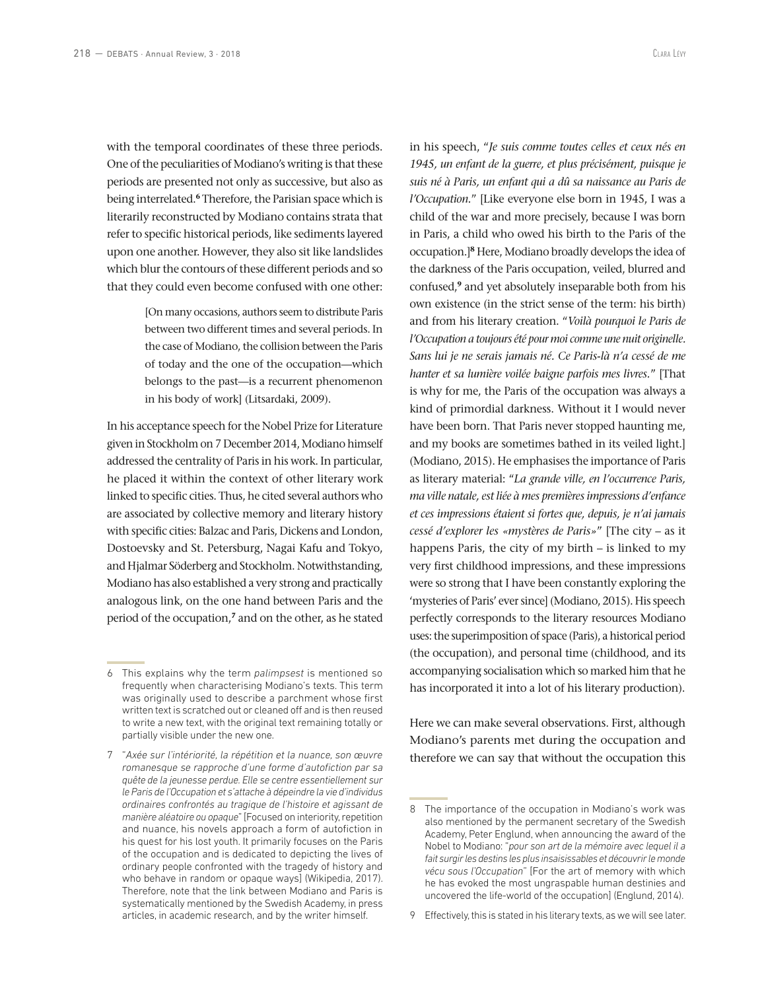with the temporal coordinates of these three periods. One of the peculiarities of Modiano's writing is that these periods are presented not only as successive, but also as being interrelated.**<sup>6</sup>** Therefore, the Parisian space which is literarily reconstructed by Modiano contains strata that refer to specific historical periods, like sediments layered upon one another. However, they also sit like landslides which blur the contours of these different periods and so that they could even become confused with one other:

> [On many occasions, authors seem to distribute Paris between two different times and several periods. In the case of Modiano, the collision between the Paris of today and the one of the occupation—which belongs to the past—is a recurrent phenomenon in his body of work] (Litsardaki, 2009).

In his acceptance speech for the Nobel Prize for Literature given in Stockholm on 7 December 2014, Modiano himself addressed the centrality of Paris in his work. In particular, he placed it within the context of other literary work linked to specific cities. Thus, he cited several authors who are associated by collective memory and literary history with specific cities: Balzac and Paris, Dickens and London, Dostoevsky and St. Petersburg, Nagai Kafu and Tokyo, and Hjalmar Söderberg and Stockholm. Notwithstanding, Modiano has also established a very strong and practically analogous link, on the one hand between Paris and the period of the occupation,**<sup>7</sup>** and on the other, as he stated

7 "*Axée sur l'intériorité, la répétition et la nuance, son œuvre romanesque se rapproche d'une forme d'autofiction par sa quête de la jeunesse perdue. Elle se centre essentiellement sur le Paris de l'Occupation et s'attache à dépeindre la vie d'individus ordinaires confrontés au tragique de l'histoire et agissant de manière aléatoire ou opaque*" [Focused on interiority, repetition and nuance, his novels approach a form of autofiction in his quest for his lost youth. It primarily focuses on the Paris of the occupation and is dedicated to depicting the lives of ordinary people confronted with the tragedy of history and who behave in random or opaque ways] (Wikipedia, 2017). Therefore, note that the link between Modiano and Paris is systematically mentioned by the Swedish Academy, in press articles, in academic research, and by the writer himself.

in his speech, "*Je suis comme toutes celles et ceux nés en 1945, un enfant de la guerre, et plus précisément, puisque je suis né à Paris, un enfant qui a dû sa naissance au Paris de l'Occupation.*" [Like everyone else born in 1945, I was a child of the war and more precisely, because I was born in Paris, a child who owed his birth to the Paris of the occupation.]**<sup>8</sup>** Here, Modiano broadly develops the idea of the darkness of the Paris occupation, veiled, blurred and confused,**<sup>9</sup>** and yet absolutely inseparable both from his own existence (in the strict sense of the term: his birth) and from his literary creation. "*Voilà pourquoi le Paris de l'Occupation a toujours été pour moi comme une nuit originelle. Sans lui je ne serais jamais né. Ce Paris-là n'a cessé de me hanter et sa lumière voilée baigne parfois mes livres.*" [That is why for me, the Paris of the occupation was always a kind of primordial darkness. Without it I would never have been born. That Paris never stopped haunting me, and my books are sometimes bathed in its veiled light.] (Modiano, 2015). He emphasises the importance of Paris as literary material: "*La grande ville, en l'occurrence Paris, ma ville natale, est liée à mes premières impressions d'enfance et ces impressions étaient si fortes que, depuis, je n'ai jamais cessé d'explorer les «mystères de Paris»*" [The city – as it happens Paris, the city of my birth – is linked to my very first childhood impressions, and these impressions were so strong that I have been constantly exploring the 'mysteries of Paris' ever since] (Modiano, 2015). His speech perfectly corresponds to the literary resources Modiano uses: the superimposition of space (Paris), a historical period (the occupation), and personal time (childhood, and its accompanying socialisation which so marked him that he has incorporated it into a lot of his literary production).

Here we can make several observations. First, although Modiano's parents met during the occupation and therefore we can say that without the occupation this

<sup>6</sup> This explains why the term *palimpsest* is mentioned so frequently when characterising Modiano's texts. This term was originally used to describe a parchment whose first written text is scratched out or cleaned off and is then reused to write a new text, with the original text remaining totally or partially visible under the new one.

<sup>8</sup> The importance of the occupation in Modiano's work was also mentioned by the permanent secretary of the Swedish Academy, Peter Englund, when announcing the award of the Nobel to Modiano: "*pour son art de la mémoire avec lequel il a fait surgir les destins les plus insaisissables et découvrir le monde vécu sous l'Occupation*" [For the art of memory with which he has evoked the most ungraspable human destinies and uncovered the life-world of the occupation] (Englund, 2014).

<sup>9</sup> Effectively, this is stated in his literary texts, as we will see later.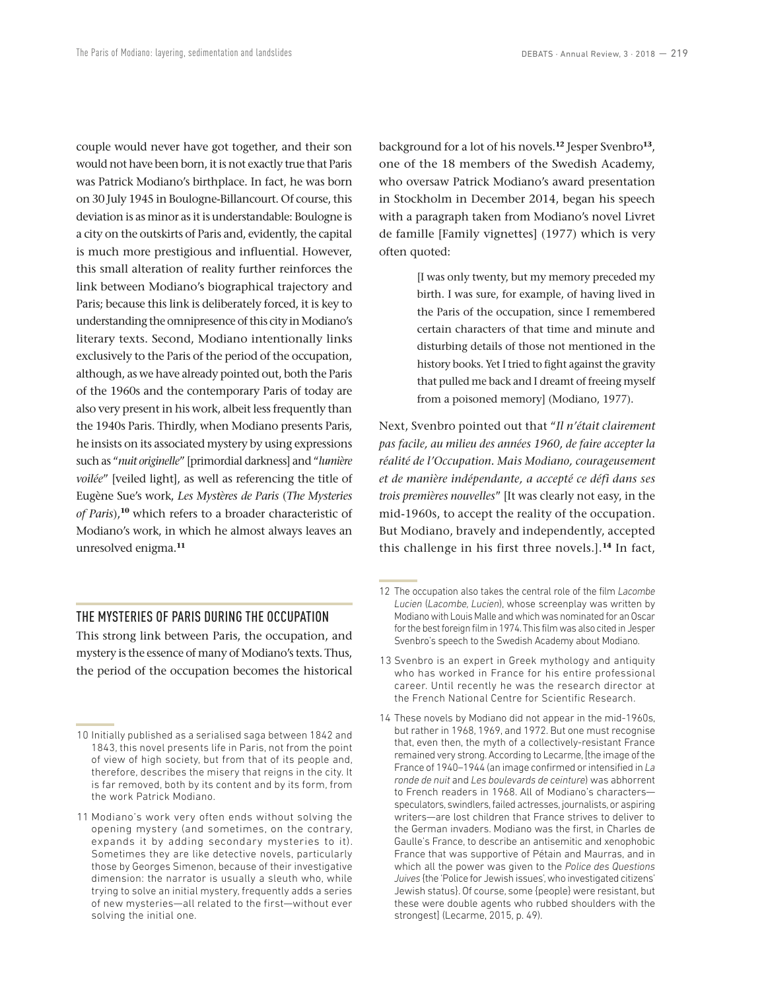couple would never have got together, and their son would not have been born, it is not exactly true that Paris was Patrick Modiano's birthplace. In fact, he was born on 30 July 1945 in Boulogne-Billancourt. Of course, this deviation is as minor as it is understandable: Boulogne is a city on the outskirts of Paris and, evidently, the capital is much more prestigious and influential. However, this small alteration of reality further reinforces the link between Modiano's biographical trajectory and Paris; because this link is deliberately forced, it is key to understanding the omnipresence of this city in Modiano's literary texts. Second, Modiano intentionally links exclusively to the Paris of the period of the occupation, although, as we have already pointed out, both the Paris of the 1960s and the contemporary Paris of today are also very present in his work, albeit less frequently than the 1940s Paris. Thirdly, when Modiano presents Paris, he insists on its associated mystery by using expressions such as "*nuit originelle*" [primordial darkness] and "*lumière voilée*" [veiled light], as well as referencing the title of Eugène Sue's work, *Les Mystères de Paris* (*The Mysteries of Paris*),**<sup>10</sup>** which refers to a broader characteristic of Modiano's work, in which he almost always leaves an unresolved enigma.**<sup>11</sup>**

#### THE MYSTERIES OF PARIS DURING THE OCCUPATION

This strong link between Paris, the occupation, and mystery is the essence of many of Modiano's texts. Thus, the period of the occupation becomes the historical background for a lot of his novels.**<sup>12</sup>** Jesper Svenbro**<sup>13</sup>**, one of the 18 members of the Swedish Academy, who oversaw Patrick Modiano's award presentation in Stockholm in December 2014, began his speech with a paragraph taken from Modiano's novel Livret de famille [Family vignettes] (1977) which is very often quoted:

> [I was only twenty, but my memory preceded my birth. I was sure, for example, of having lived in the Paris of the occupation, since I remembered certain characters of that time and minute and disturbing details of those not mentioned in the history books. Yet I tried to fight against the gravity that pulled me back and I dreamt of freeing myself from a poisoned memory] (Modiano, 1977).

Next, Svenbro pointed out that "*Il n'était clairement pas facile, au milieu des années 1960, de faire accepter la réalité de l'Occupation. Mais Modiano, courageusement et de manière indépendante, a accepté ce défi dans ses trois premières nouvelles*" [It was clearly not easy, in the mid-1960s, to accept the reality of the occupation. But Modiano, bravely and independently, accepted this challenge in his first three novels.].**<sup>14</sup>** In fact,

- 13 Svenbro is an expert in Greek mythology and antiquity who has worked in France for his entire professional career. Until recently he was the research director at the French National Centre for Scientific Research.
- 14 These novels by Modiano did not appear in the mid-1960s, but rather in 1968, 1969, and 1972. But one must recognise that, even then, the myth of a collectively-resistant France remained very strong. According to Lecarme, [the image of the France of 1940–1944 (an image confirmed or intensified in *La ronde de nuit* and *Les boulevards de ceinture*) was abhorrent to French readers in 1968. All of Modiano's characters speculators, swindlers, failed actresses, journalists, or aspiring writers—are lost children that France strives to deliver to the German invaders. Modiano was the first, in Charles de Gaulle's France, to describe an antisemitic and xenophobic France that was supportive of Pétain and Maurras, and in which all the power was given to the *Police des Questions Juives* {the 'Police for Jewish issues', who investigated citizens' Jewish status}. Of course, some {people} were resistant, but these were double agents who rubbed shoulders with the strongest] (Lecarme, 2015, p. 49).

<sup>10</sup> Initially published as a serialised saga between 1842 and 1843, this novel presents life in Paris, not from the point of view of high society, but from that of its people and, therefore, describes the misery that reigns in the city. It is far removed, both by its content and by its form, from the work Patrick Modiano.

<sup>11</sup> Modiano's work very often ends without solving the opening mystery (and sometimes, on the contrary, expands it by adding secondary mysteries to it). Sometimes they are like detective novels, particularly those by Georges Simenon, because of their investigative dimension: the narrator is usually a sleuth who, while trying to solve an initial mystery, frequently adds a series of new mysteries—all related to the first—without ever solving the initial one.

<sup>12</sup> The occupation also takes the central role of the film *Lacombe Lucien* (*Lacombe, Lucien*), whose screenplay was written by Modiano with Louis Malle and which was nominated for an Oscar for the best foreign film in 1974. This film was also cited in Jesper Svenbro's speech to the Swedish Academy about Modiano.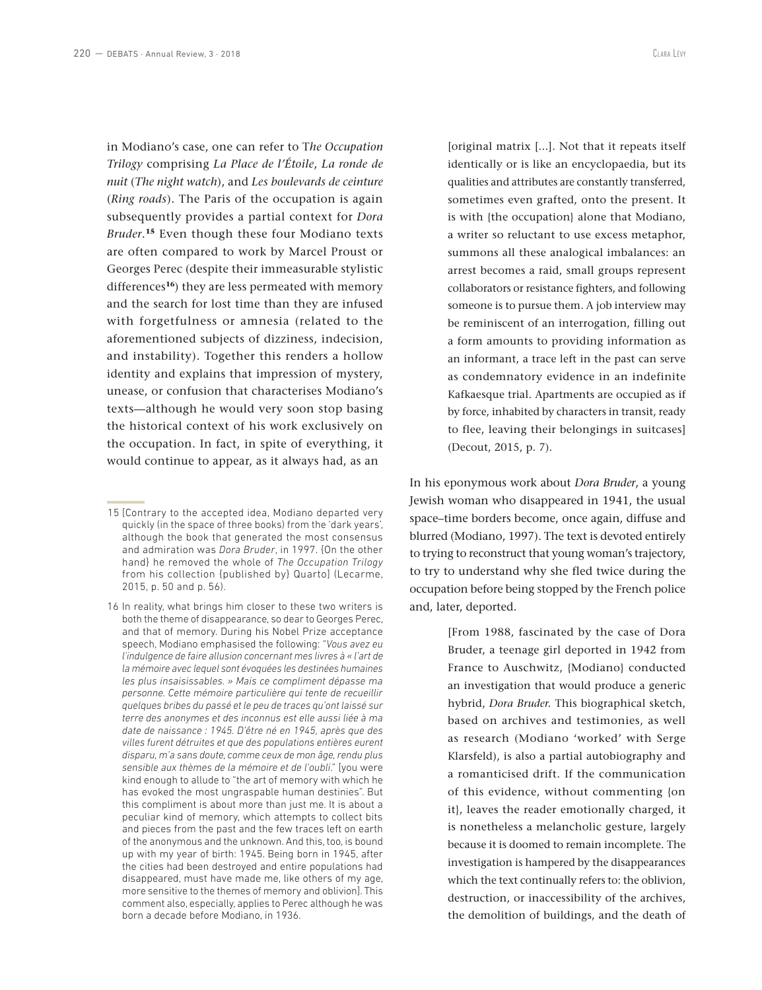in Modiano's case, one can refer to T*he Occupation Trilogy* comprising *La Place de l'Étoile*, *La ronde de nuit* (*The night watch*), and *Les boulevards de ceinture*  (*Ring roads*). The Paris of the occupation is again subsequently provides a partial context for *Dora Bruder*. **<sup>15</sup>** Even though these four Modiano texts are often compared to work by Marcel Proust or Georges Perec (despite their immeasurable stylistic differences**<sup>16</sup>**) they are less permeated with memory and the search for lost time than they are infused with forgetfulness or amnesia (related to the aforementioned subjects of dizziness, indecision, and instability). Together this renders a hollow identity and explains that impression of mystery, unease, or confusion that characterises Modiano's texts—although he would very soon stop basing the historical context of his work exclusively on the occupation. In fact, in spite of everything, it would continue to appear, as it always had, as an

[original matrix [...]. Not that it repeats itself identically or is like an encyclopaedia, but its qualities and attributes are constantly transferred, sometimes even grafted, onto the present. It is with {the occupation} alone that Modiano, a writer so reluctant to use excess metaphor, summons all these analogical imbalances: an arrest becomes a raid, small groups represent collaborators or resistance fighters, and following someone is to pursue them. A job interview may be reminiscent of an interrogation, filling out a form amounts to providing information as an informant, a trace left in the past can serve as condemnatory evidence in an indefinite Kafkaesque trial. Apartments are occupied as if by force, inhabited by characters in transit, ready to flee, leaving their belongings in suitcases] (Decout, 2015, p. 7).

In his eponymous work about *Dora Bruder*, a young Jewish woman who disappeared in 1941, the usual space–time borders become, once again, diffuse and blurred (Modiano, 1997). The text is devoted entirely to trying to reconstruct that young woman's trajectory, to try to understand why she fled twice during the occupation before being stopped by the French police and, later, deported.

> [From 1988, fascinated by the case of Dora Bruder, a teenage girl deported in 1942 from France to Auschwitz, {Modiano} conducted an investigation that would produce a generic hybrid, *Dora Bruder.* This biographical sketch, based on archives and testimonies, as well as research (Modiano 'worked' with Serge Klarsfeld), is also a partial autobiography and a romanticised drift. If the communication of this evidence, without commenting {on it}, leaves the reader emotionally charged, it is nonetheless a melancholic gesture, largely because it is doomed to remain incomplete. The investigation is hampered by the disappearances which the text continually refers to: the oblivion, destruction, or inaccessibility of the archives, the demolition of buildings, and the death of

<sup>15</sup> [Contrary to the accepted idea, Modiano departed very quickly (in the space of three books) from the 'dark years', although the book that generated the most consensus and admiration was *Dora Bruder*, in 1997. {On the other hand} he removed the whole of *The Occupation Trilogy* from his collection {published by} Quarto] (Lecarme, 2015, p. 50 and p. 56).

<sup>16</sup> In reality, what brings him closer to these two writers is both the theme of disappearance, so dear to Georges Perec, and that of memory. During his Nobel Prize acceptance speech, Modiano emphasised the following: "*Vous avez eu l'indulgence de faire allusion concernant mes livres à « l'art de la mémoire avec lequel sont évoquées les destinées humaines les plus insaisissables. » Mais ce compliment dépasse ma personne. Cette mémoire particulière qui tente de recueillir quelques bribes du passé et le peu de traces qu'ont laissé sur terre des anonymes et des inconnus est elle aussi liée à ma date de naissance : 1945. D'être né en 1945, après que des villes furent détruites et que des populations entières eurent disparu, m'a sans doute, comme ceux de mon âge, rendu plus sensible aux thèmes de la mémoire et de l'oubli*." [you were kind enough to allude to "the art of memory with which he has evoked the most ungraspable human destinies". But this compliment is about more than just me. It is about a peculiar kind of memory, which attempts to collect bits and pieces from the past and the few traces left on earth of the anonymous and the unknown. And this, too, is bound up with my year of birth: 1945. Being born in 1945, after the cities had been destroyed and entire populations had disappeared, must have made me, like others of my age, more sensitive to the themes of memory and oblivion]. This comment also, especially, applies to Perec although he was born a decade before Modiano, in 1936.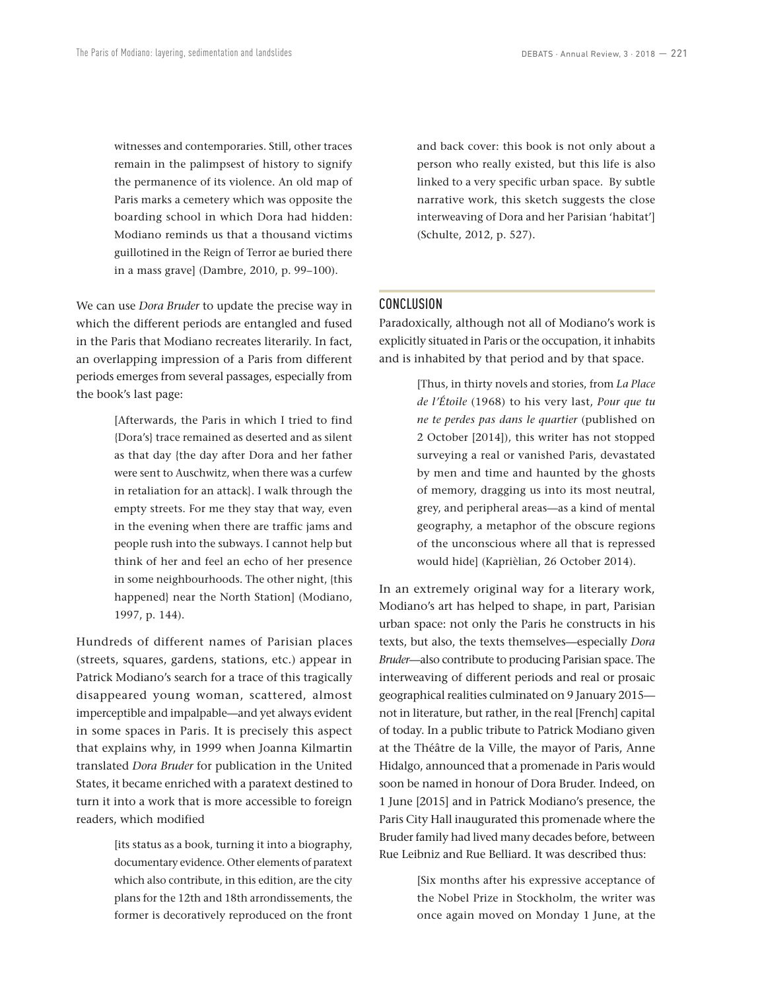witnesses and contemporaries. Still, other traces remain in the palimpsest of history to signify the permanence of its violence. An old map of Paris marks a cemetery which was opposite the boarding school in which Dora had hidden: Modiano reminds us that a thousand victims guillotined in the Reign of Terror ae buried there in a mass grave] (Dambre, 2010, p. 99–100).

We can use *Dora Bruder* to update the precise way in which the different periods are entangled and fused in the Paris that Modiano recreates literarily. In fact, an overlapping impression of a Paris from different periods emerges from several passages, especially from the book's last page:

> [Afterwards, the Paris in which I tried to find {Dora's} trace remained as deserted and as silent as that day {the day after Dora and her father were sent to Auschwitz, when there was a curfew in retaliation for an attack}. I walk through the empty streets. For me they stay that way, even in the evening when there are traffic jams and people rush into the subways. I cannot help but think of her and feel an echo of her presence in some neighbourhoods. The other night, {this happened} near the North Station] (Modiano, 1997, p. 144).

Hundreds of different names of Parisian places (streets, squares, gardens, stations, etc.) appear in Patrick Modiano's search for a trace of this tragically disappeared young woman, scattered, almost imperceptible and impalpable—and yet always evident in some spaces in Paris. It is precisely this aspect that explains why, in 1999 when Joanna Kilmartin translated *Dora Bruder* for publication in the United States, it became enriched with a paratext destined to turn it into a work that is more accessible to foreign readers, which modified

> [its status as a book, turning it into a biography, documentary evidence. Other elements of paratext which also contribute, in this edition, are the city plans for the 12th and 18th arrondissements, the former is decoratively reproduced on the front

and back cover: this book is not only about a person who really existed, but this life is also linked to a very specific urban space. By subtle narrative work, this sketch suggests the close interweaving of Dora and her Parisian 'habitat'] (Schulte, 2012, p. 527).

#### CONCLUSION

Paradoxically, although not all of Modiano's work is explicitly situated in Paris or the occupation, it inhabits and is inhabited by that period and by that space.

> [Thus, in thirty novels and stories, from *La Place de l'Étoile* (1968) to his very last, *Pour que tu ne te perdes pas dans le quartier* (published on 2 October [2014]), this writer has not stopped surveying a real or vanished Paris, devastated by men and time and haunted by the ghosts of memory, dragging us into its most neutral, grey, and peripheral areas—as a kind of mental geography, a metaphor of the obscure regions of the unconscious where all that is repressed would hide] (Kaprièlian, 26 October 2014).

In an extremely original way for a literary work, Modiano's art has helped to shape, in part, Parisian urban space: not only the Paris he constructs in his texts, but also, the texts themselves—especially *Dora Bruder*—also contribute to producing Parisian space. The interweaving of different periods and real or prosaic geographical realities culminated on 9 January 2015 not in literature, but rather, in the real [French] capital of today. In a public tribute to Patrick Modiano given at the Théâtre de la Ville, the mayor of Paris, Anne Hidalgo, announced that a promenade in Paris would soon be named in honour of Dora Bruder. Indeed, on 1 June [2015] and in Patrick Modiano's presence, the Paris City Hall inaugurated this promenade where the Bruder family had lived many decades before, between Rue Leibniz and Rue Belliard. It was described thus:

> [Six months after his expressive acceptance of the Nobel Prize in Stockholm, the writer was once again moved on Monday 1 June, at the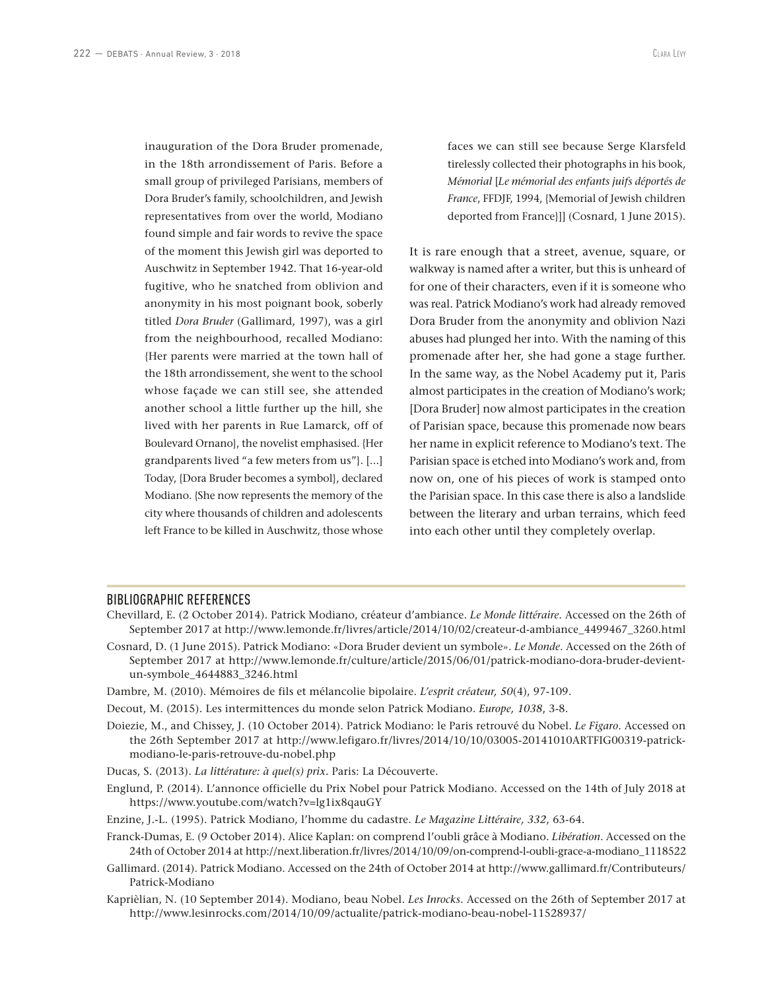inauguration of the Dora Bruder promenade, in the 18th arrondissement of Paris. Before a small group of privileged Parisians, members of Dora Bruder's family, schoolchildren, and Jewish representatives from over the world, Modiano found simple and fair words to revive the space of the moment this Jewish girl was deported to Auschwitz in September 1942. That 16-year-old fugitive, who he snatched from oblivion and anonymity in his most poignant book, soberly titled *Dora Bruder* (Gallimard, 1997), was a girl from the neighbourhood, recalled Modiano: {Her parents were married at the town hall of the 18th arrondissement, she went to the school whose façade we can still see, she attended another school a little further up the hill, she lived with her parents in Rue Lamarck, off of Boulevard Ornano}, the novelist emphasised. {Her grandparents lived "a few meters from us"}. [...] Today, {Dora Bruder becomes a symbol}, declared Modiano. {She now represents the memory of the city where thousands of children and adolescents left France to be killed in Auschwitz, those whose

faces we can still see because Serge Klarsfeld tirelessly collected their photographs in his book, *Mémorial* [*Le mémorial des enfants juifs déportés de France*, FFDJF, 1994, {Memorial of Jewish children deported from France}]] (Cosnard, 1 June 2015).

It is rare enough that a street, avenue, square, or walkway is named after a writer, but this is unheard of for one of their characters, even if it is someone who was real. Patrick Modiano's work had already removed Dora Bruder from the anonymity and oblivion Nazi abuses had plunged her into. With the naming of this promenade after her, she had gone a stage further. In the same way, as the Nobel Academy put it, Paris almost participates in the creation of Modiano's work; [Dora Bruder] now almost participates in the creation of Parisian space, because this promenade now bears her name in explicit reference to Modiano's text. The Parisian space is etched into Modiano's work and, from now on, one of his pieces of work is stamped onto the Parisian space. In this case there is also a landslide between the literary and urban terrains, which feed into each other until they completely overlap.

### BIBLIOGRAPHIC REFERENCES

- Chevillard, E. (2 October 2014). Patrick Modiano, créateur d'ambiance. *Le Monde littéraire*. Accessed on the 26th of September 2017 at http://www.lemonde.fr/livres/article/2014/10/02/createur-d-ambiance\_4499467\_3260.html
- Cosnard, D. (1 June 2015). Patrick Modiano: «Dora Bruder devient un symbole». *Le Monde*. Accessed on the 26th of September 2017 at http://www.lemonde.fr/culture/article/2015/06/01/patrick-modiano-dora-bruder-devientun-symbole\_4644883\_3246.html
- Dambre, M. (2010). Mémoires de fils et mélancolie bipolaire. *L'esprit créateur, 50*(4), 97-109.
- Decout, M. (2015). Les intermittences du monde selon Patrick Modiano. *Europe, 1038*, 3-8.
- Doiezie, M., and Chissey, J. (10 October 2014). Patrick Modiano: le Paris retrouvé du Nobel. *Le Figaro*. Accessed on the 26th September 2017 at http://www.lefigaro.fr/livres/2014/10/10/03005-20141010ARTFIG00319-patrickmodiano-le-paris-retrouve-du-nobel.php
- Ducas, S. (2013). *La littérature: à quel(s) prix.* Paris: La Découverte.
- Englund, P. (2014). L'annonce officielle du Prix Nobel pour Patrick Modiano. Accessed on the 14th of July 2018 at https://www.youtube.com/watch?v=lg1ix8qauGY
- Enzine, J.-L. (1995). Patrick Modiano, l'homme du cadastre. *Le Magazine Littéraire, 332*, 63-64.
- Franck-Dumas, E. (9 October 2014). Alice Kaplan: on comprend l'oubli grâce à Modiano. *Libération*. Accessed on the 24th of October 2014 at http://next.liberation.fr/livres/2014/10/09/on-comprend-l-oubli-grace-a-modiano\_1118522
- Gallimard. (2014). Patrick Modiano. Accessed on the 24th of October 2014 at http://www.gallimard.fr/Contributeurs/ Patrick-Modiano
- Kaprièlian, N. (10 September 2014). Modiano, beau Nobel. *Les Inrocks.* Accessed on the 26th of September 2017 at http://www.lesinrocks.com/2014/10/09/actualite/patrick-modiano-beau-nobel-11528937/